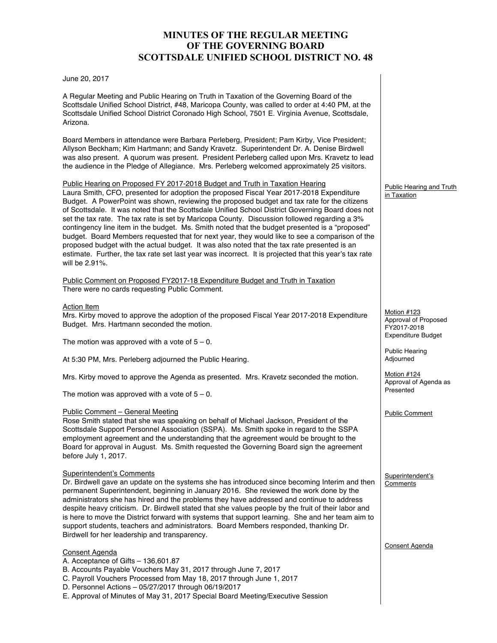# **MINUTES OF THE REGULAR MEETING OF THE GOVERNING BOARD SCOTTSDALE UNIFIED SCHOOL DISTRICT NO. 48**

June 20, 2017

A Regular Meeting and Public Hearing on Truth in Taxation of the Governing Board of the Scottsdale Unified School District, #48, Maricopa County, was called to order at 4:40 PM, at the Scottsdale Unified School District Coronado High School, 7501 E. Virginia Avenue, Scottsdale, Arizona.

Board Members in attendance were Barbara Perleberg, President; Pam Kirby, Vice President; Allyson Beckham; Kim Hartmann; and Sandy Kravetz. Superintendent Dr. A. Denise Birdwell was also present. A quorum was present. President Perleberg called upon Mrs. Kravetz to lead the audience in the Pledge of Allegiance. Mrs. Perleberg welcomed approximately 25 visitors.

Public Hearing on Proposed FY 2017-2018 Budget and Truth in Taxation Hearing Laura Smith, CFO, presented for adoption the proposed Fiscal Year 2017-2018 Expenditure Budget. A PowerPoint was shown, reviewing the proposed budget and tax rate for the citizens of Scottsdale. It was noted that the Scottsdale Unified School District Governing Board does not set the tax rate. The tax rate is set by Maricopa County. Discussion followed regarding a 3% contingency line item in the budget. Ms. Smith noted that the budget presented is a "proposed" budget. Board Members requested that for next year, they would like to see a comparison of the proposed budget with the actual budget. It was also noted that the tax rate presented is an estimate. Further, the tax rate set last year was incorrect. It is projected that this year's tax rate will be 2.91%.

Public Comment on Proposed FY2017-18 Expenditure Budget and Truth in Taxation There were no cards requesting Public Comment.

# Action Item

Mrs. Kirby moved to approve the adoption of the proposed Fiscal Year 2017-2018 Expenditure Budget. Mrs. Hartmann seconded the motion.

The motion was approved with a vote of  $5 - 0$ .

At 5:30 PM, Mrs. Perleberg adjourned the Public Hearing.

Mrs. Kirby moved to approve the Agenda as presented. Mrs. Kravetz seconded the motion.

The motion was approved with a vote of  $5 - 0$ .

# Public Comment – General Meeting

Rose Smith stated that she was speaking on behalf of Michael Jackson, President of the Scottsdale Support Personnel Association (SSPA). Ms. Smith spoke in regard to the SSPA employment agreement and the understanding that the agreement would be brought to the Board for approval in August. Ms. Smith requested the Governing Board sign the agreement before July 1, 2017.

# Superintendent's Comments

Dr. Birdwell gave an update on the systems she has introduced since becoming Interim and then permanent Superintendent, beginning in January 2016. She reviewed the work done by the administrators she has hired and the problems they have addressed and continue to address despite heavy criticism. Dr. Birdwell stated that she values people by the fruit of their labor and is here to move the District forward with systems that support learning. She and her team aim to support students, teachers and administrators. Board Members responded, thanking Dr. Birdwell for her leadership and transparency.

# Consent Agenda

- A. Acceptance of Gifts 136,601.87
- B. Accounts Payable Vouchers May 31, 2017 through June 7, 2017
- C. Payroll Vouchers Processed from May 18, 2017 through June 1, 2017
- D. Personnel Actions 05/27/2017 through 06/19/2017
- E. Approval of Minutes of May 31, 2017 Special Board Meeting/Executive Session

### Public Hearing and Truth in Taxation

Motion #123 Approval of Proposed FY2017-2018 Expenditure Budget

Public Hearing Adjourned

Motion #124 Approval of Agenda as Presented

Public Comment

Superintendent's **Comments** 

Consent Agenda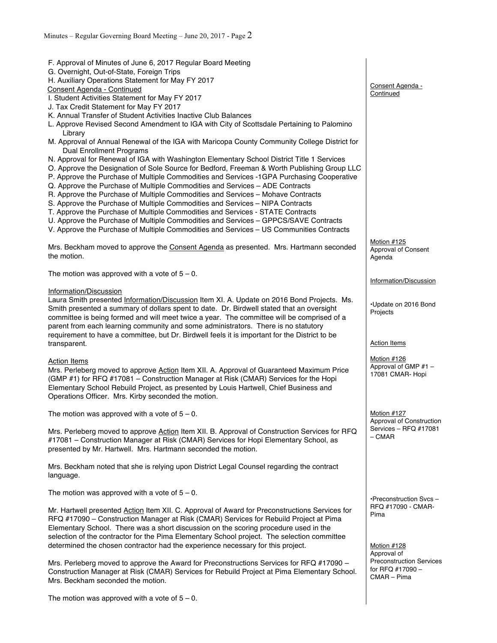| F. Approval of Minutes of June 6, 2017 Regular Board Meeting<br>G. Overnight, Out-of-State, Foreign Trips<br>H. Auxiliary Operations Statement for May FY 2017<br>Consent Agenda - Continued                                                                                                                                                                                                                                                                                                                                                                                                                                                                                                                                                                                                                                                      | Consent Agenda -                                                   |
|---------------------------------------------------------------------------------------------------------------------------------------------------------------------------------------------------------------------------------------------------------------------------------------------------------------------------------------------------------------------------------------------------------------------------------------------------------------------------------------------------------------------------------------------------------------------------------------------------------------------------------------------------------------------------------------------------------------------------------------------------------------------------------------------------------------------------------------------------|--------------------------------------------------------------------|
| I. Student Activities Statement for May FY 2017<br>J. Tax Credit Statement for May FY 2017<br>K. Annual Transfer of Student Activities Inactive Club Balances                                                                                                                                                                                                                                                                                                                                                                                                                                                                                                                                                                                                                                                                                     | Continued                                                          |
| L. Approve Revised Second Amendment to IGA with City of Scottsdale Pertaining to Palomino<br>Library<br>M. Approval of Annual Renewal of the IGA with Maricopa County Community College District for                                                                                                                                                                                                                                                                                                                                                                                                                                                                                                                                                                                                                                              |                                                                    |
| <b>Dual Enrollment Programs</b><br>N. Approval for Renewal of IGA with Washington Elementary School District Title 1 Services<br>O. Approve the Designation of Sole Source for Bedford, Freeman & Worth Publishing Group LLC<br>P. Approve the Purchase of Multiple Commodities and Services -1GPA Purchasing Cooperative<br>Q. Approve the Purchase of Multiple Commodities and Services - ADE Contracts<br>R. Approve the Purchase of Multiple Commodities and Services - Mohave Contracts<br>S. Approve the Purchase of Multiple Commodities and Services - NIPA Contracts<br>T. Approve the Purchase of Multiple Commodities and Services - STATE Contracts<br>U. Approve the Purchase of Multiple Commodities and Services - GPPCS/SAVE Contracts<br>V. Approve the Purchase of Multiple Commodities and Services - US Communities Contracts |                                                                    |
| Mrs. Beckham moved to approve the Consent Agenda as presented. Mrs. Hartmann seconded<br>the motion.                                                                                                                                                                                                                                                                                                                                                                                                                                                                                                                                                                                                                                                                                                                                              | Motion #125<br>Approval of Consent<br>Agenda                       |
| The motion was approved with a vote of $5 - 0$ .                                                                                                                                                                                                                                                                                                                                                                                                                                                                                                                                                                                                                                                                                                                                                                                                  | Information/Discussion                                             |
| Information/Discussion<br>Laura Smith presented Information/Discussion Item XI. A. Update on 2016 Bond Projects. Ms.<br>Smith presented a summary of dollars spent to date. Dr. Birdwell stated that an oversight<br>committee is being formed and will meet twice a year. The committee will be comprised of a<br>parent from each learning community and some administrators. There is no statutory<br>requirement to have a committee, but Dr. Birdwell feels it is important for the District to be                                                                                                                                                                                                                                                                                                                                           | •Update on 2016 Bond<br>Projects                                   |
| transparent.                                                                                                                                                                                                                                                                                                                                                                                                                                                                                                                                                                                                                                                                                                                                                                                                                                      | <b>Action Items</b>                                                |
| <b>Action Items</b><br>Mrs. Perleberg moved to approve Action Item XII. A. Approval of Guaranteed Maximum Price<br>(GMP #1) for RFQ #17081 - Construction Manager at Risk (CMAR) Services for the Hopi<br>Elementary School Rebuild Project, as presented by Louis Hartwell, Chief Business and<br>Operations Officer. Mrs. Kirby seconded the motion.                                                                                                                                                                                                                                                                                                                                                                                                                                                                                            | Motion #126<br>Approval of GMP #1 -<br>17081 CMAR- Hopi            |
| The motion was approved with a vote of $5 - 0$ .                                                                                                                                                                                                                                                                                                                                                                                                                                                                                                                                                                                                                                                                                                                                                                                                  | Motion #127<br>Approval of Construction                            |
| Mrs. Perleberg moved to approve Action Item XII. B. Approval of Construction Services for RFQ<br>#17081 - Construction Manager at Risk (CMAR) Services for Hopi Elementary School, as<br>presented by Mr. Hartwell. Mrs. Hartmann seconded the motion.                                                                                                                                                                                                                                                                                                                                                                                                                                                                                                                                                                                            | Services - RFQ #17081<br>$-$ CMAR                                  |
| Mrs. Beckham noted that she is relying upon District Legal Counsel regarding the contract<br>language.                                                                                                                                                                                                                                                                                                                                                                                                                                                                                                                                                                                                                                                                                                                                            |                                                                    |
| The motion was approved with a vote of $5 - 0$ .                                                                                                                                                                                                                                                                                                                                                                                                                                                                                                                                                                                                                                                                                                                                                                                                  | •Preconstruction Svcs-                                             |
| Mr. Hartwell presented Action Item XII. C. Approval of Award for Preconstructions Services for<br>RFQ #17090 - Construction Manager at Risk (CMAR) Services for Rebuild Project at Pima<br>Elementary School. There was a short discussion on the scoring procedure used in the<br>selection of the contractor for the Pima Elementary School project. The selection committee<br>determined the chosen contractor had the experience necessary for this project.                                                                                                                                                                                                                                                                                                                                                                                 | RFQ #17090 - CMAR-<br>Pima<br>Motion #128<br>Approval of           |
| Mrs. Perleberg moved to approve the Award for Preconstructions Services for RFQ #17090 -<br>Construction Manager at Risk (CMAR) Services for Rebuild Project at Pima Elementary School.<br>Mrs. Beckham seconded the motion.                                                                                                                                                                                                                                                                                                                                                                                                                                                                                                                                                                                                                      | <b>Preconstruction Services</b><br>for RFQ #17090 -<br>CMAR – Pima |
| The motion was approved with a vote of $5 - 0$ .                                                                                                                                                                                                                                                                                                                                                                                                                                                                                                                                                                                                                                                                                                                                                                                                  |                                                                    |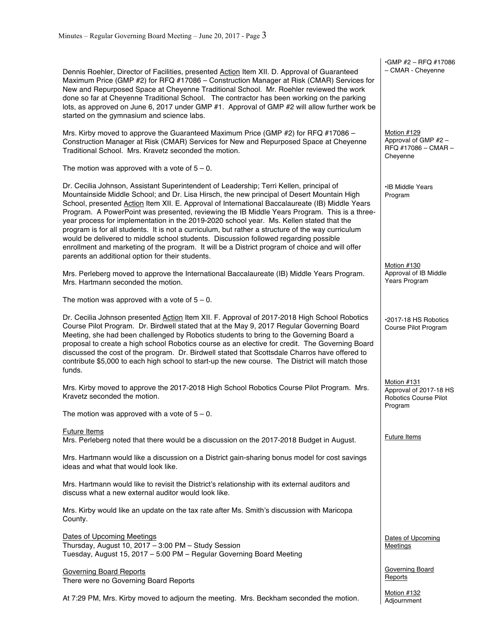Dennis Roehler, Director of Facilities, presented Action Item XII. D. Approval of Guaranteed Maximum Price (GMP #2) for RFQ #17086 – Construction Manager at Risk (CMAR) Services for New and Repurposed Space at Cheyenne Traditional School. Mr. Roehler reviewed the work done so far at Cheyenne Traditional School. The contractor has been working on the parking lots, as approved on June 6, 2017 under GMP #1. Approval of GMP #2 will allow further work be started on the gymnasium and science labs.

Mrs. Kirby moved to approve the Guaranteed Maximum Price (GMP #2) for RFQ #17086 -Construction Manager at Risk (CMAR) Services for New and Repurposed Space at Cheyenne Traditional School. Mrs. Kravetz seconded the motion.

The motion was approved with a vote of  $5 - 0$ .

Dr. Cecilia Johnson, Assistant Superintendent of Leadership; Terri Kellen, principal of Mountainside Middle School; and Dr. Lisa Hirsch, the new principal of Desert Mountain High School, presented Action Item XII. E. Approval of International Baccalaureate (IB) Middle Years Program. A PowerPoint was presented, reviewing the IB Middle Years Program. This is a threeyear process for implementation in the 2019-2020 school year. Ms. Kellen stated that the program is for all students. It is not a curriculum, but rather a structure of the way curriculum would be delivered to middle school students. Discussion followed regarding possible enrollment and marketing of the program. It will be a District program of choice and will offer parents an additional option for their students.

Mrs. Perleberg moved to approve the International Baccalaureate (IB) Middle Years Program. Mrs. Hartmann seconded the motion.

The motion was approved with a vote of  $5 - 0$ .

Dr. Cecilia Johnson presented Action Item XII. F. Approval of 2017-2018 High School Robotics Course Pilot Program. Dr. Birdwell stated that at the May 9, 2017 Regular Governing Board Meeting, she had been challenged by Robotics students to bring to the Governing Board a proposal to create a high school Robotics course as an elective for credit. The Governing Board discussed the cost of the program. Dr. Birdwell stated that Scottsdale Charros have offered to contribute \$5,000 to each high school to start-up the new course. The District will match those funds.

Mrs. Kirby moved to approve the 2017-2018 High School Robotics Course Pilot Program. Mrs. Kravetz seconded the motion.

The motion was approved with a vote of  $5 - 0$ .

### Future Items

Mrs. Perleberg noted that there would be a discussion on the 2017-2018 Budget in August.

Mrs. Hartmann would like a discussion on a District gain-sharing bonus model for cost savings ideas and what that would look like.

Mrs. Hartmann would like to revisit the District's relationship with its external auditors and discuss what a new external auditor would look like.

Mrs. Kirby would like an update on the tax rate after Ms. Smith's discussion with Maricopa County.

Dates of Upcoming Meetings Thursday, August 10, 2017 – 3:00 PM – Study Session Tuesday, August 15, 2017 – 5:00 PM – Regular Governing Board Meeting

Governing Board Reports There were no Governing Board Reports

At 7:29 PM, Mrs. Kirby moved to adjourn the meeting. Mrs. Beckham seconded the motion.

•GMP #2 – RFQ #17086 – CMAR - Cheyenne

Motion #129 Approval of GMP #2 – RFQ #17086 – CMAR – Cheyenne

•IB Middle Years Program

Motion #130 Approval of IB Middle Years Program

•2017-18 HS Robotics Course Pilot Program

Motion #131 Approval of 2017-18 HS Robotics Course Pilot Program

Future Items

Dates of Upcoming **Meetings** 

Governing Board Reports

Motion #132 **Adiournment**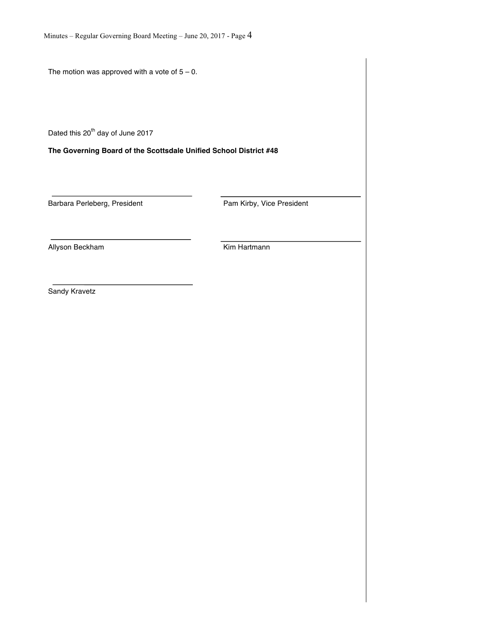The motion was approved with a vote of  $5 - 0$ .

Dated this 20<sup>th</sup> day of June 2017

**The Governing Board of the Scottsdale Unified School District #48**

Barbara Perleberg, President **Pam Kirby**, Vice President

Allyson Beckham **Kim Hartmann** 

Sandy Kravetz